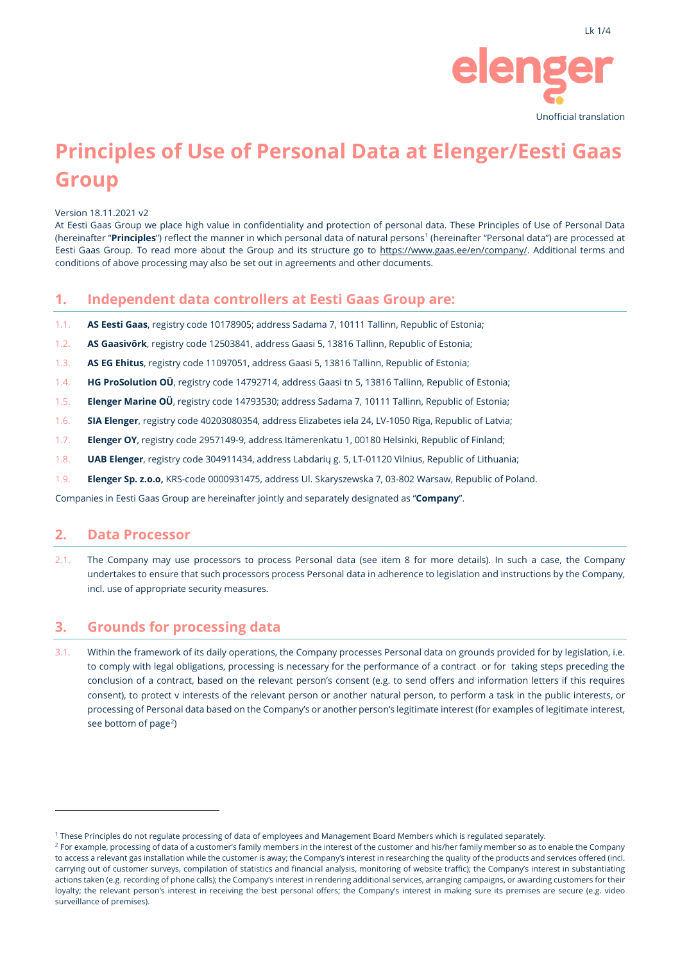

# **Principles of Use of Personal Data at Elenger/Eesti Gaas Group**

Version 18.11.2021 v2

At Eesti Gaas Group we place high value in confidentiality and protection of personal data. These Principles of Use of Personal Data (hereinafter "Principles") reflect the manner in which personal data of natural persons<sup>[1](#page-0-0)</sup> (hereinafter "Personal data") are processed at Eesti Gaas Group. To read more about the Group and its structure go to [https://www.gaas.ee/en/company/.](https://www.gaas.ee/en/company/) Additional terms and conditions of above processing may also be set out in agreements and other documents.

### **1. Independent data controllers at Eesti Gaas Group are:**

- 1.1. **AS Eesti Gaas**, registry code 10178905; address Sadama 7, 10111 Tallinn, Republic of Estonia;
- 1.2. **AS Gaasivõrk**, registry code 12503841, address Gaasi 5, 13816 Tallinn, Republic of Estonia;
- 1.3. **AS EG Ehitus**, registry code 11097051, address Gaasi 5, 13816 Tallinn, Republic of Estonia;
- 1.4. **HG ProSolution OÜ**, registry code 14792714, address Gaasi tn 5, 13816 Tallinn, Republic of Estonia;
- 1.5. **Elenger Marine OÜ**, registry code 14793530; address Sadama 7, 10111 Tallinn, Republic of Estonia;
- 1.6. **SIA Elenger**, registry code 40203080354, address Elizabetes iela 24, LV-1050 Riga, Republic of Latvia;
- 1.7. **Elenger OY**, registry code 2957149-9, address Itämerenkatu 1, 00180 Helsinki, Republic of Finland;
- 1.8. **UAB Elenger**, registry code 304911434, address Labdarių g. 5, LT-01120 Vilnius, Republic of Lithuania;
- 1.9. **Elenger Sp. z.o.o,** KRS-code 0000931475, address Ul. Skaryszewska 7, 03-802 Warsaw, Republic of Poland.

Companies in Eesti Gaas Group are hereinafter jointly and separately designated as "**Company**".

#### **2. Data Processor**

2.1. The Company may use processors to process Personal data (see item 8 for more details). In such a case, the Company undertakes to ensure that such processors process Personal data in adherence to legislation and instructions by the Company, incl. use of appropriate security measures.

### **3. Grounds for processing data**

3.1. Within the framework of its daily operations, the Company processes Personal data on grounds provided for by legislation, i.e. to comply with legal obligations, processing is necessary for the performance of a contract or for taking steps preceding the conclusion of a contract, based on the relevant person's consent (e.g. to send offers and information letters if this requires consent), to protect v interests of the relevant person or another natural person, to perform a task in the public interests, or processing of Personal data based on the Company's or another person's legitimate interest (for examples of legitimate interest, see bottom of page<sup>[2](#page-0-1)</sup>)

<span id="page-0-0"></span><sup>1</sup> These Principles do not regulate processing of data of employees and Management Board Members which is regulated separately.

<span id="page-0-1"></span><sup>&</sup>lt;sup>2</sup> For example, processing of data of a customer's family members in the interest of the customer and his/her family member so as to enable the Company to access a relevant gas installation while the customer is away; the Company's interest in researching the quality of the products and services offered (incl. carrying out of customer surveys, compilation of statistics and financial analysis, monitoring of website traffic); the Company's interest in substantiating actions taken (e.g. recording of phone calls); the Company's interest in rendering additional services, arranging campaigns, or awarding customers for their loyalty; the relevant person's interest in receiving the best personal offers; the Company's interest in making sure its premises are secure (e.g. video surveillance of premises).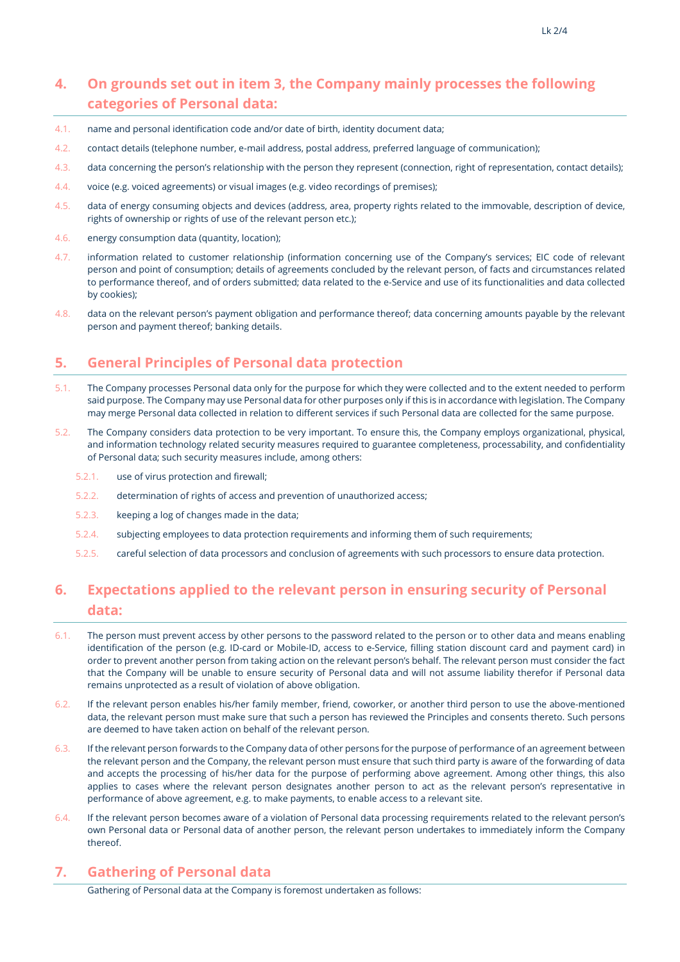# **4. On grounds set out in item 3, the Company mainly processes the following categories of Personal data:**

- 4.1. name and personal identification code and/or date of birth, identity document data;
- 4.2. contact details (telephone number, e-mail address, postal address, preferred language of communication);
- 4.3. data concerning the person's relationship with the person they represent (connection, right of representation, contact details);
- 4.4. voice (e.g. voiced agreements) or visual images (e.g. video recordings of premises);
- 4.5. data of energy consuming objects and devices (address, area, property rights related to the immovable, description of device, rights of ownership or rights of use of the relevant person etc.);
- 4.6. energy consumption data (quantity, location);
- 4.7. information related to customer relationship (information concerning use of the Company's services; EIC code of relevant person and point of consumption; details of agreements concluded by the relevant person, of facts and circumstances related to performance thereof, and of orders submitted; data related to the e-Service and use of its functionalities and data collected by cookies);
- 4.8. data on the relevant person's payment obligation and performance thereof; data concerning amounts payable by the relevant person and payment thereof; banking details.

# **5. General Principles of Personal data protection**

- 5.1. The Company processes Personal data only for the purpose for which they were collected and to the extent needed to perform said purpose. The Company may use Personal data for other purposes only if this is in accordance with legislation. The Company may merge Personal data collected in relation to different services if such Personal data are collected for the same purpose.
- 5.2. The Company considers data protection to be very important. To ensure this, the Company employs organizational, physical, and information technology related security measures required to guarantee completeness, processability, and confidentiality of Personal data; such security measures include, among others:
	- 5.2.1. use of virus protection and firewall;
	- 5.2.2. determination of rights of access and prevention of unauthorized access;
	- 5.2.3. keeping a log of changes made in the data;
	- 5.2.4. subjecting employees to data protection requirements and informing them of such requirements;
	- 5.2.5. careful selection of data processors and conclusion of agreements with such processors to ensure data protection.

# **6. Expectations applied to the relevant person in ensuring security of Personal data:**

- 6.1. The person must prevent access by other persons to the password related to the person or to other data and means enabling identification of the person (e.g. ID-card or Mobile-ID, access to e-Service, filling station discount card and payment card) in order to prevent another person from taking action on the relevant person's behalf. The relevant person must consider the fact that the Company will be unable to ensure security of Personal data and will not assume liability therefor if Personal data remains unprotected as a result of violation of above obligation.
- 6.2. If the relevant person enables his/her family member, friend, coworker, or another third person to use the above-mentioned data, the relevant person must make sure that such a person has reviewed the Principles and consents thereto. Such persons are deemed to have taken action on behalf of the relevant person.
- 6.3. If the relevant person forwards to the Company data of other persons for the purpose of performance of an agreement between the relevant person and the Company, the relevant person must ensure that such third party is aware of the forwarding of data and accepts the processing of his/her data for the purpose of performing above agreement. Among other things, this also applies to cases where the relevant person designates another person to act as the relevant person's representative in performance of above agreement, e.g. to make payments, to enable access to a relevant site.
- 6.4. If the relevant person becomes aware of a violation of Personal data processing requirements related to the relevant person's own Personal data or Personal data of another person, the relevant person undertakes to immediately inform the Company thereof.

# **7. Gathering of Personal data**

Gathering of Personal data at the Company is foremost undertaken as follows: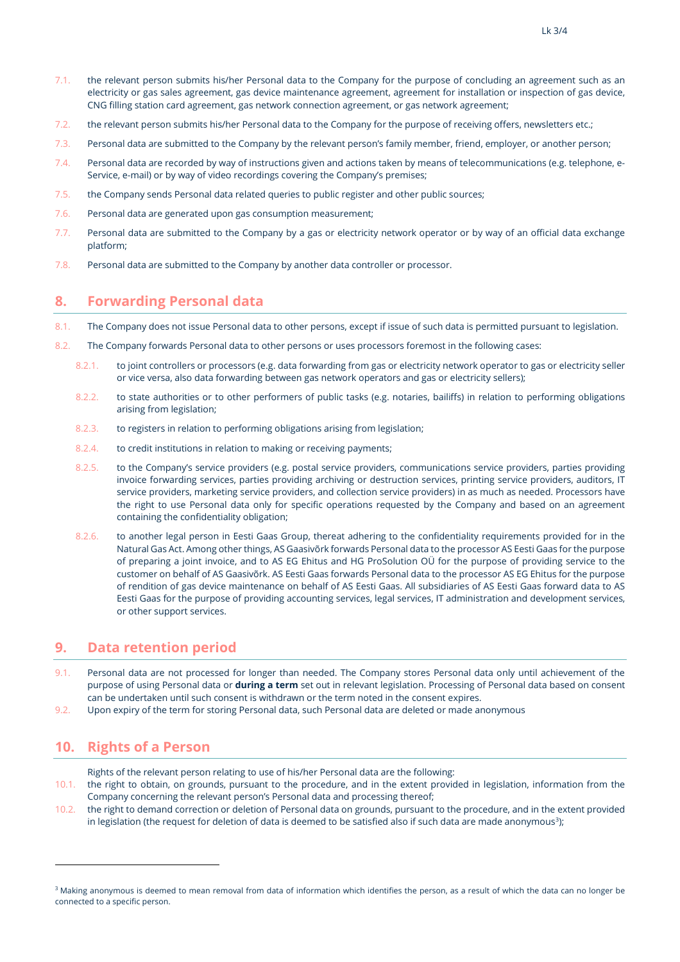- 7.1. the relevant person submits his/her Personal data to the Company for the purpose of concluding an agreement such as an electricity or gas sales agreement, gas device maintenance agreement, agreement for installation or inspection of gas device, CNG filling station card agreement, gas network connection agreement, or gas network agreement;
- 7.2. the relevant person submits his/her Personal data to the Company for the purpose of receiving offers, newsletters etc.;
- 7.3. Personal data are submitted to the Company by the relevant person's family member, friend, employer, or another person;
- 7.4. Personal data are recorded by way of instructions given and actions taken by means of telecommunications (e.g. telephone, e-Service, e-mail) or by way of video recordings covering the Company's premises;
- 7.5. the Company sends Personal data related queries to public register and other public sources;
- 7.6. Personal data are generated upon gas consumption measurement;
- 7.7. Personal data are submitted to the Company by a gas or electricity network operator or by way of an official data exchange platform;
- 7.8. Personal data are submitted to the Company by another data controller or processor.

### **8. Forwarding Personal data**

- 8.1. The Company does not issue Personal data to other persons, except if issue of such data is permitted pursuant to legislation.
- 8.2. The Company forwards Personal data to other persons or uses processors foremost in the following cases:
	- 8.2.1. to joint controllers or processors (e.g. data forwarding from gas or electricity network operator to gas or electricity seller or vice versa, also data forwarding between gas network operators and gas or electricity sellers);
	- 8.2.2. to state authorities or to other performers of public tasks (e.g. notaries, bailiffs) in relation to performing obligations arising from legislation;
	- 8.2.3. to registers in relation to performing obligations arising from legislation;
	- 8.2.4. to credit institutions in relation to making or receiving payments;
	- 8.2.5. to the Company's service providers (e.g. postal service providers, communications service providers, parties providing invoice forwarding services, parties providing archiving or destruction services, printing service providers, auditors, IT service providers, marketing service providers, and collection service providers) in as much as needed. Processors have the right to use Personal data only for specific operations requested by the Company and based on an agreement containing the confidentiality obligation;
	- 8.2.6. to another legal person in Eesti Gaas Group, thereat adhering to the confidentiality requirements provided for in the Natural Gas Act. Among other things, AS Gaasivõrk forwards Personal data to the processor AS Eesti Gaas for the purpose of preparing a joint invoice, and to AS EG Ehitus and HG ProSolution OÜ for the purpose of providing service to the customer on behalf of AS Gaasivõrk. AS Eesti Gaas forwards Personal data to the processor AS EG Ehitus for the purpose of rendition of gas device maintenance on behalf of AS Eesti Gaas. All subsidiaries of AS Eesti Gaas forward data to AS Eesti Gaas for the purpose of providing accounting services, legal services, IT administration and development services, or other support services.

### **9. Data retention period**

- 9.1. Personal data are not processed for longer than needed. The Company stores Personal data only until achievement of the purpose of using Personal data or **during a term** set out in relevant legislation. Processing of Personal data based on consent can be undertaken until such consent is withdrawn or the term noted in the consent expires.
- 9.2. Upon expiry of the term for storing Personal data, such Personal data are deleted or made anonymous

# **10. Rights of a Person**

Rights of the relevant person relating to use of his/her Personal data are the following:

- 10.1. the right to obtain, on grounds, pursuant to the procedure, and in the extent provided in legislation, information from the Company concerning the relevant person's Personal data and processing thereof;
- 10.2. the right to demand correction or deletion of Personal data on grounds, pursuant to the procedure, and in the extent provided in legislation (the request for deletion of data is deemed to be satisfied also if such data are made anonymous $^{\text{3}}$  $^{\text{3}}$  $^{\text{3}}$ );

<span id="page-2-0"></span><sup>&</sup>lt;sup>3</sup> Making anonymous is deemed to mean removal from data of information which identifies the person, as a result of which the data can no longer be connected to a specific person.